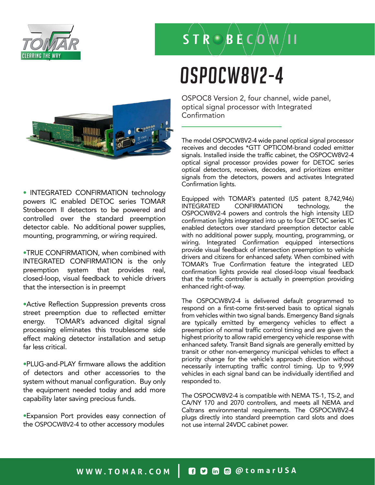

### $S T R \bigcirc B E C$   $(M,$

# OSPOCW8V2-4



• INTEGRATED CONFIRMATION technology powers IC enabled DETOC series TOMAR Strobecom II detectors to be powered and controlled over the standard preemption detector cable. No additional power supplies, mounting, programming, or wiring required.

•TRUE CONFIRMATION, when combined with INTEGRATED CONFIRMATION is the only preemption system that provides real, closed-loop, visual feedback to vehicle drivers that the intersection is in preempt

•Active Reflection Suppression prevents cross street preemption due to reflected emitter energy. TOMAR's advanced digital signal processing eliminates this troublesome side effect making detector installation and setup far less critical.

•PLUG-and-PLAY firmware allows the addition of detectors and other accessories to the system without manual configuration. Buy only the equipment needed today and add more capability later saving precious funds.

•Expansion Port provides easy connection of the OSPOCW8V2-4 to other accessory modules

OSPOC8 Version 2, four channel, wide panel, optical signal processor with Integrated Confirmation

The model OSPOCW8V2-4 wide panel optical signal processor receives and decodes \*GTT OPTICOM-brand coded emitter signals. Installed inside the traffic cabinet, the OSPOCW8V2-4 optical signal processor provides power for DETOC series optical detectors, receives, decodes, and prioritizes emitter signals from the detectors, powers and activates Integrated Confirmation lights.

Equipped with TOMAR's patented (US patent 8,742,946) INTEGRATED CONFIRMATION technology, the OSPOCW8V2-4 powers and controls the high intensity LED confirmation lights integrated into up to four DETOC series IC enabled detectors over standard preemption detector cable with no additional power supply, mounting, programming, or wiring. Integrated Confirmation equipped intersections provide visual feedback of intersection preemption to vehicle drivers and citizens for enhanced safety. When combined with TOMAR's True Confirmation feature the integrated LED confirmation lights provide real closed-loop visual feedback that the traffic controller is actually in preemption providing enhanced right-of-way.

The OSPOCW8V2-4 is delivered default programmed to respond on a first-come first-served basis to optical signals from vehicles within two signal bands. Emergency Band signals are typically emitted by emergency vehicles to effect a preemption of normal traffic control timing and are given the highest priority to allow rapid emergency vehicle response with enhanced safety. Transit Band signals are generally emitted by transit or other non-emergency municipal vehicles to effect a priority change for the vehicle's approach direction without necessarily interrupting traffic control timing. Up to 9,999 vehicles in each signal band can be individually identified and responded to.

The OSPOCW8V2-4 is compatible with NEMA TS-1, TS-2, and CA/NY 170 and 2070 controllers, and meets all NEMA and Caltrans environmental requirements. The OSPOCW8V2-4 plugs directly into standard preemption card slots and does not use internal 24VDC cabinet power.